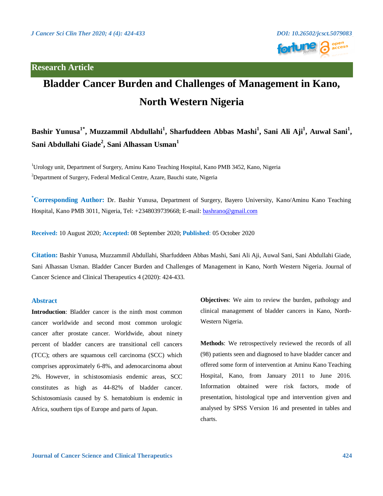## **Research Article**



# **Bladder Cancer Burden and Challenges of Management in Kano, North Western Nigeria**

**Bashir Yunusa1\* , Muzzammil Abdullahi<sup>1</sup> , Sharfuddeen Abbas Mashi<sup>1</sup> , Sani Ali Aji<sup>1</sup> , Auwal Sani<sup>1</sup> , Sani Abdullahi Giade<sup>2</sup> , Sani Alhassan Usman<sup>1</sup>**

<sup>1</sup>Urology unit, Department of Surgery, Aminu Kano Teaching Hospital, Kano PMB 3452, Kano, Nigeria <sup>2</sup>Department of Surgery, Federal Medical Centre, Azare, Bauchi state, Nigeria

**\*Corresponding Author:** Dr. Bashir Yunusa, Department of Surgery, Bayero University, Kano/Aminu Kano Teaching Hospital, Kano PMB 3011, Nigeria, Tel: +2348039739668; E-mail: [bashrano@gmail.com](mailto:bashrano@gmail.com)

**Received:** 10 August 2020; **Accepted:** 08 September 2020; **Published**: 05 October 2020

**Citation:** Bashir Yunusa, Muzzammil Abdullahi, Sharfuddeen Abbas Mashi, Sani Ali Aji, Auwal Sani, Sani Abdullahi Giade, Sani Alhassan Usman. Bladder Cancer Burden and Challenges of Management in Kano, North Western Nigeria. Journal of Cancer Science and Clinical Therapeutics 4 (2020): 424-433.

#### **Abstract**

**Introduction**: Bladder cancer is the ninth most common cancer worldwide and second most common urologic cancer after prostate cancer. Worldwide, about ninety percent of bladder cancers are transitional cell cancers (TCC); others are squamous cell carcinoma (SCC) which comprises approximately 6-8%, and adenocarcinoma about 2%. However, in schistosomiasis endemic areas, SCC constitutes as high as 44-82% of bladder cancer. Schistosomiasis caused by S. hematobium is endemic in Africa, southern tips of Europe and parts of Japan.

**Objectives**: We aim to review the burden, pathology and clinical management of bladder cancers in Kano, North-Western Nigeria.

**Methods**: We retrospectively reviewed the records of all (98) patients seen and diagnosed to have bladder cancer and offered some form of intervention at Aminu Kano Teaching Hospital, Kano, from January 2011 to June 2016. Information obtained were risk factors, mode of presentation, histological type and intervention given and analysed by SPSS Version 16 and presented in tables and charts.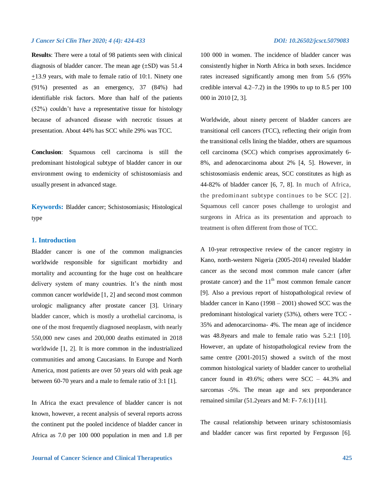**Results**: There were a total of 98 patients seen with clinical diagnosis of bladder cancer. The mean age  $(\pm SD)$  was 51.4 +13.9 years, with male to female ratio of 10:1. Ninety one (91%) presented as an emergency, 37 (84%) had identifiable risk factors. More than half of the patients (52%) couldn't have a representative tissue for histology because of advanced disease with necrotic tissues at presentation. About 44% has SCC while 29% was TCC.

**Conclusion**: Squamous cell carcinoma is still the predominant histological subtype of bladder cancer in our environment owing to endemicity of schistosomiasis and usually present in advanced stage.

**Keywords:** Bladder cancer; Schistosomiasis; Histological type

### **1. Introduction**

Bladder cancer is one of the common malignancies worldwide responsible for significant morbidity and mortality and accounting for the huge cost on healthcare delivery system of many countries. It's the ninth most common cancer worldwide [1, 2] and second most common urologic malignancy after prostate cancer [3]. Urinary bladder cancer, which is mostly a urothelial carcinoma, is one of the most frequently diagnosed neoplasm, with nearly 550,000 new cases and 200,000 deaths estimated in 2018 worldwide [1, 2]. It is more common in the industrialized communities and among Caucasians. In Europe and North America, most patients are over 50 years old with peak age between 60-70 years and a male to female ratio of 3:1 [1].

In Africa the exact prevalence of bladder cancer is not known, however, a recent analysis of several reports across the continent put the pooled incidence of bladder cancer in Africa as 7.0 per 100 000 population in men and 1.8 per

100 000 in women. The incidence of bladder cancer was consistently higher in North Africa in both sexes. Incidence rates increased significantly among men from 5.6 (95% credible interval  $4.2-7.2$ ) in the 1990s to up to 8.5 per 100 000 in 2010 [2, 3].

Worldwide, about ninety percent of bladder cancers are transitional cell cancers (TCC), reflecting their origin from the transitional cells lining the bladder, others are squamous cell carcinoma (SCC) which comprises approximately 6- 8%, and adenocarcinoma about 2% [4, 5]. However, in schistosomiasis endemic areas, SCC constitutes as high as 44-82% of bladder cancer [6, 7, 8]. In much of Africa, the predominant subtype continues to be SCC [2]. Squamous cell cancer poses challenge to urologist and surgeons in Africa as its presentation and approach to treatment is often different from those of TCC.

A 10-year retrospective review of the cancer registry in Kano, north-western Nigeria (2005-2014) revealed bladder cancer as the second most common male cancer (after prostate cancer) and the  $11<sup>th</sup>$  most common female cancer [9]. Also a previous report of histopathological review of bladder cancer in Kano (1998 – 2001) showed SCC was the predominant histological variety (53%), others were TCC - 35% and adenocarcinoma- 4%. The mean age of incidence was 48.8years and male to female ratio was 5.2:1 [10]. However, an update of histopathological review from the same centre (2001-2015) showed a switch of the most common histological variety of bladder cancer to urothelial cancer found in 49.6%; others were SCC – 44.3% and sarcomas -5%. The mean age and sex preponderance remained similar (51.2years and M: F- 7.6:1) [11].

The causal relationship between urinary schistosomiasis and bladder cancer was first reported by Fergusson [6].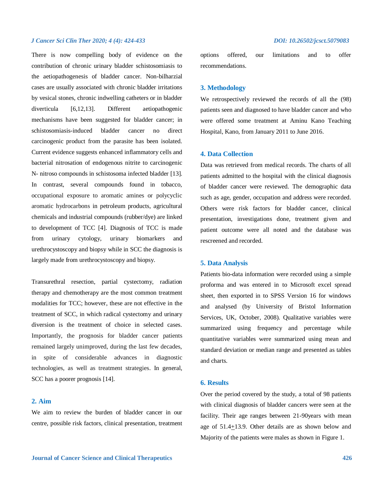There is now compelling body of evidence on the contribution of chronic urinary bladder schistosomiasis to the aetiopathogenesis of bladder cancer. Non-bilharzial cases are usually associated with chronic bladder irritations by vesical stones, chronic indwelling catheters or in bladder diverticula [6,12,13]. Different aetiopathogenic mechanisms have been suggested for bladder cancer; in schistosomiasis-induced bladder cancer no direct carcinogenic product from the parasite has been isolated. Current evidence suggests enhanced inflammatory cells and bacterial nitrosation of endogenous nitrite to carcinogenic N- nitroso compounds in schistosoma infected bladder [13]. In contrast, several compounds found in tobacco, occupational exposure to aromatic amines or polycyclic aromatic hydrocarbons in petroleum products, agricultural chemicals and industrial compounds (rubber/dye) are linked to development of TCC [4]. Diagnosis of TCC is made from urinary cytology, urinary biomarkers and urethrocystoscopy and biopsy while in SCC the diagnosis is largely made from urethrocystoscopy and biopsy.

Transurethral resection, partial cystectomy, radiation therapy and chemotherapy are the most common treatment modalities for TCC; however, these are not effective in the treatment of SCC, in which radical cystectomy and urinary diversion is the treatment of choice in selected cases. Importantly, the prognosis for bladder cancer patients remained largely unimproved, during the last few decades, in spite of considerable advances in diagnostic technologies, as well as treatment strategies. In general, SCC has a poorer prognosis [14].

### **2. Aim**

We aim to review the burden of bladder cancer in our centre, possible risk factors, clinical presentation, treatment options offered, our limitations and to offer recommendations.

### **3. Methodology**

We retrospectively reviewed the records of all the (98) patients seen and diagnosed to have bladder cancer and who were offered some treatment at Aminu Kano Teaching Hospital, Kano, from January 2011 to June 2016.

#### **4. Data Collection**

Data was retrieved from medical records. The charts of all patients admitted to the hospital with the clinical diagnosis of bladder cancer were reviewed. The demographic data such as age, gender, occupation and address were recorded. Others were risk factors for bladder cancer, clinical presentation, investigations done, treatment given and patient outcome were all noted and the database was rescreened and recorded.

#### **5. Data Analysis**

Patients bio-data information were recorded using a simple proforma and was entered in to Microsoft excel spread sheet, then exported in to SPSS Version 16 for windows and analysed (by University of Bristol Information Services, UK, October, 2008). Qualitative variables were summarized using frequency and percentage while quantitative variables were summarized using mean and standard deviation or median range and presented as tables and charts.

### **6. Results**

Over the period covered by the study, a total of 98 patients with clinical diagnosis of bladder cancers were seen at the facility. Their age ranges between 21-90years with mean age of  $51.4 \pm 13.9$ . Other details are as shown below and Majority of the patients were males as shown in Figure 1.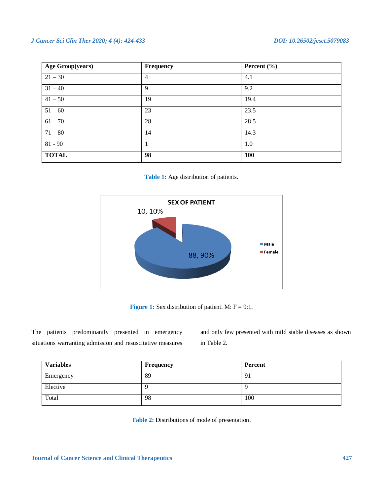| <b>Age Group(years)</b> | <b>Frequency</b> | Percent $(\% )$ |
|-------------------------|------------------|-----------------|
| $21 - 30$               | $\overline{4}$   | 4.1             |
| $31 - 40$               | 9                | 9.2             |
| $41 - 50$               | 19               | 19.4            |
| $51 - 60$               | 23               | 23.5            |
| $61 - 70$               | 28               | 28.5            |
| $71 - 80$               | 14               | 14.3            |
| $81 - 90$               | 1                | 1.0             |
| <b>TOTAL</b>            | 98               | <b>100</b>      |

**Table 1:** Age distribution of patients.



**Figure 1:** Sex distribution of patient. M:  $F = 9:1$ .

The patients predominantly presented in emergency situations warranting admission and resuscitative measures

and only few presented with mild stable diseases as shown in Table 2.

| <b>Variables</b> | <b>Frequency</b> | Percent |
|------------------|------------------|---------|
| Emergency        | 89               | 91      |
| Elective         |                  |         |
| Total            | 98               | 100     |

**Table 2:** Distributions of mode of presentation.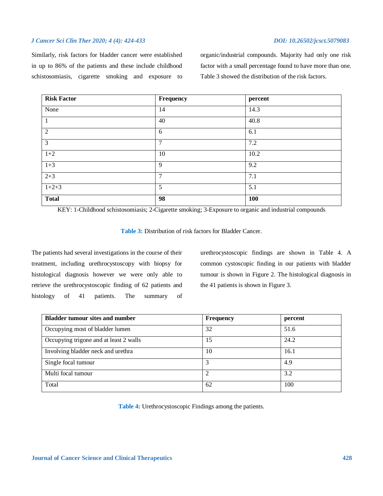Similarly, risk factors for bladder cancer were established in up to 86% of the patients and these include childhood schistosomiasis, cigarette smoking and exposure to organic/industrial compounds. Majority had only one risk factor with a small percentage found to have more than one. Table 3 showed the distribution of the risk factors.

| <b>Risk Factor</b> | Frequency      | percent |
|--------------------|----------------|---------|
| None               | 14             | 14.3    |
| $\mathbf{1}$       | 40             | 40.8    |
| 2                  | 6              | 6.1     |
| $\overline{3}$     | $\overline{7}$ | 7.2     |
| $1+2$              | 10             | 10.2    |
| $1+3$              | 9              | 9.2     |
| $2 + 3$            | $\overline{7}$ | 7.1     |
| $1+2+3$            | 5              | 5.1     |
| <b>Total</b>       | 98             | 100     |

KEY: 1-Childhood schistosomiasis; 2-Cigarette smoking; 3-Exposure to organic and industrial compounds

| <b>Table 3:</b> Distribution of risk factors for Bladder Cancer. |  |  |  |  |
|------------------------------------------------------------------|--|--|--|--|
|------------------------------------------------------------------|--|--|--|--|

The patients had several investigations in the course of their treatment, including urethrocystoscopy with biopsy for histological diagnosis however we were only able to retrieve the urethrocystoscopic finding of 62 patients and histology of 41 patients. The summary of urethrocystoscopic findings are shown in Table 4. A common cystoscopic finding in our patients with bladder tumour is shown in Figure 2. The histological diagnosis in the 41 patients is shown in Figure 3.

| <b>Bladder tumour sites and number</b> | <b>Frequency</b> | percent |
|----------------------------------------|------------------|---------|
| Occupying most of bladder lumen        | 32               | 51.6    |
| Occupying trigone and at least 2 walls | 15               | 24.2    |
| Involving bladder neck and urethra     | 10               | 16.1    |
| Single focal tumour                    |                  | 4.9     |
| Multi focal tumour                     |                  | 3.2     |
| Total                                  | 62               | 100     |

**Table 4:** Urethrocystoscopic Findings among the patients.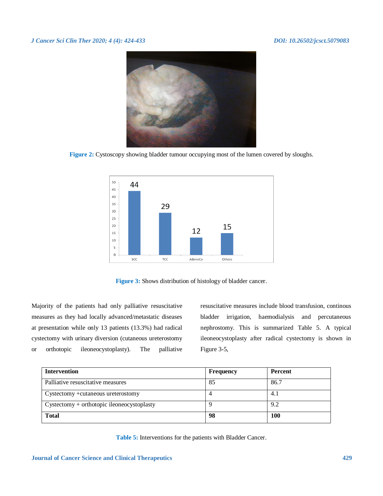

**Figure 2:** Cystoscopy showing bladder tumour occupying most of the lumen covered by sloughs.



**Figure 3:** Shows distribution of histology of bladder cancer.

Majority of the patients had only palliative resuscitative measures as they had locally advanced/metastatic diseases at presentation while only 13 patients (13.3%) had radical cystectomy with urinary diversion (cutaneous ureterostomy or orthotopic ileoneocystoplasty). The palliative

resuscitative measures include blood transfusion, continous bladder irrigation, haemodialysis and percutaneous nephrostomy. This is summarized Table 5. A typical ileoneocystoplasty after radical cystectomy is shown in Figure 3-5,

| <b>Intervention</b>                        | Frequency | <b>Percent</b> |
|--------------------------------------------|-----------|----------------|
| Palliative resuscitative measures          | 85        | 86.7           |
| Cystectomy + cutaneous ureterostomy        |           | 4.1            |
| Cystectomy + orthotopic ileoneocystoplasty |           | 9.2            |
| <b>Total</b>                               | 98        | <b>100</b>     |

**Table 5:** Interventions for the patients with Bladder Cancer.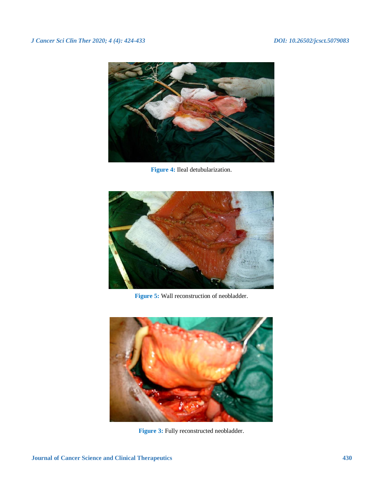

**Figure 4:** Ileal detubularization.



**Figure 5:** Wall reconstruction of neobladder.



Figure 3: Fully reconstructed neobladder.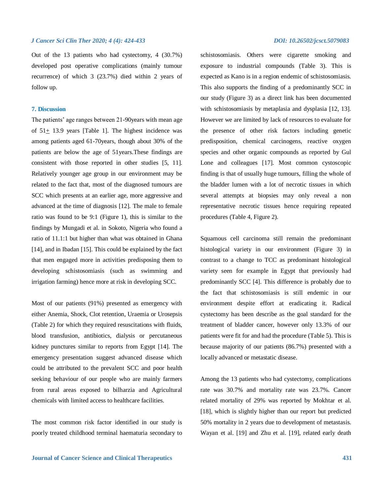Out of the 13 patients who had cystectomy, 4 (30.7%) developed post operative complications (mainly tumour recurrence) of which 3 (23.7%) died within 2 years of follow up.

#### **7. Discussion**

The patients' age ranges between 21-90years with mean age of 51+ 13.9 years [Table 1]. The highest incidence was among patients aged 61-70years, though about 30% of the patients are below the age of 51years.These findings are consistent with those reported in other studies [5, 11]. Relatively younger age group in our environment may be related to the fact that, most of the diagnosed tumours are SCC which presents at an earlier age, more aggressive and advanced at the time of diagnosis [12]. The male to female ratio was found to be 9:1 (Figure 1), this is similar to the findings by Mungadi et al. in Sokoto, Nigeria who found a ratio of 11.1:1 but higher than what was obtained in Ghana [14], and in Ibadan [15]. This could be explained by the fact that men engaged more in activities predisposing them to developing schistosomiasis (such as swimming and irrigation farming) hence more at risk in developing SCC.

Most of our patients (91%) presented as emergency with either Anemia, Shock, Clot retention, Uraemia or Urosepsis (Table 2) for which they required resuscitations with fluids, blood transfusion, antibiotics, dialysis or percutaneous kidney punctures similar to reports from Egypt [14]. The emergency presentation suggest advanced disease which could be attributed to the prevalent SCC and poor health seeking behaviour of our people who are mainly farmers from rural areas exposed to bilharzia and Agricultural chemicals with limited access to healthcare facilities.

The most common risk factor identified in our study is poorly treated childhood terminal haematuria secondary to

schistosomiasis. Others were cigarette smoking and exposure to industrial compounds (Table 3). This is expected as Kano is in a region endemic of schistosomiasis. This also supports the finding of a predominantly SCC in our study (Figure 3) as a direct link has been documented with schistosomiasis by metaplasia and dysplasia [12, 13]. However we are limited by lack of resources to evaluate for the presence of other risk factors including genetic predisposition, chemical carcinogens, reactive oxygen species and other organic compounds as reported by Gul Lone and colleagues [17]. Most common cystoscopic finding is that of usually huge tumours, filling the whole of the bladder lumen with a lot of necrotic tissues in which several attempts at biopsies may only reveal a non representative necrotic tissues hence requiring repeated procedures (Table 4, Figure 2).

Squamous cell carcinoma still remain the predominant histological variety in our environment (Figure 3) in contrast to a change to TCC as predominant histological variety seen for example in Egypt that previously had predominantly SCC [4]. This difference is probably due to the fact that schistosomiasis is still endemic in our environment despite effort at eradicating it. Radical cystectomy has been describe as the goal standard for the treatment of bladder cancer, however only 13.3% of our patients were fit for and had the procedure (Table 5). This is because majority of our patients (86.7%) presented with a locally advanced or metastatic disease.

Among the 13 patients who had cystectomy, complications rate was 30.7% and mortality rate was 23.7%. Cancer related mortality of 29% was reported by Mokhtar et al. [18], which is slightly higher than our report but predicted 50% mortality in 2 years due to development of metastasis. Wayan et al. [19] and Zhu et al. [19], related early death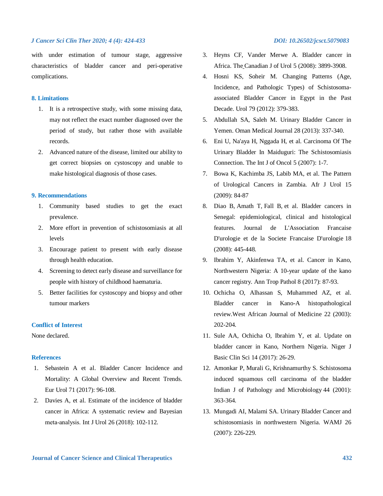with under estimation of tumour stage, aggressive characteristics of bladder cancer and peri-operative complications.

#### **8. Limitations**

- 1. It is a retrospective study, with some missing data, may not reflect the exact number diagnosed over the period of study, but rather those with available records.
- 2. Advanced nature of the disease, limited our ability to get correct biopsies on cystoscopy and unable to make histological diagnosis of those cases.

#### **9. Recommendations**

- 1. Community based studies to get the exact prevalence.
- 2. More effort in prevention of schistosomiasis at all levels
- 3. Encourage patient to present with early disease through health education.
- 4. Screening to detect early disease and surveillance for people with history of childhood haematuria.
- 5. Better facilities for cystoscopy and biopsy and other tumour markers

#### **Conflict of Interest**

None declared.

#### **References**

- 1. Sebastein A et al. Bladder Cancer Incidence and Mortality: A Global Overview and Recent Trends. Eur Urol 71 (2017): 96-108.
- 2. Davies A, et al. Estimate of the incidence of bladder cancer in Africa: A systematic review and Bayesian meta‐analysis. Int J Urol 26 (2018): 102-112.
- 3. Heyns CF, Vander Merwe A. Bladder cancer in Africa. The Canadian J of Urol 5 (2008): 3899-3908.
- 4. Hosni KS, Soheir M. Changing Patterns (Age, Incidence, and Pathologic Types) of Schistosomaassociated Bladder Cancer in Egypt in the Past Decade. Urol 79 (2012): 379-383.
- 5. Abdullah SA, Saleh M. Urinary Bladder Cancer in Yemen. Oman Medical Journal 28 (2013): 337-340.
- 6. Eni U, Na'aya H, Nggada H, et al. Carcinoma Of The Urinary Bladder In Maiduguri: The Schistosomiasis Connection. The Int J of Oncol 5 (2007): 1-7.
- 7. Bowa K, Kachimba JS, Labib MA, et al. The Pattern of Urological Cancers in Zambia. Afr J Urol 15 (2009): 84-87
- 8. Diao B, Amath T, Fall B, et al. Bladder cancers in Senegal: epidemiological, clinical and histological features. Journal de L'Association Francaise D'urologie et de la Societe Francaise D'urologie 18 (2008): 445-448.
- 9. Ibrahim Y, Akinfenwa TA, et al. Cancer in Kano, Northwestern Nigeria: A 10-year update of the kano cancer registry. Ann Trop Pathol 8 (2017): 87-93.
- 10. Ochicha O, Alhassan S, Muhammed AZ, et al. Bladder cancer in Kano-A histopathological review.West African Journal of Medicine 22 (2003): 202-204.
- 11. Sule AA, Ochicha O, Ibrahim Y, et al. Update on bladder cancer in Kano, Northern Nigeria. Niger J Basic Clin Sci 14 (2017): 26-29.
- 12. Amonkar P, Murali G, Krishnamurthy S. Schistosoma induced squamous cell carcinoma of the bladder Indian J of Pathology and Microbiology 44 (2001): 363-364.
- 13. Mungadi AI, Malami SA. Urinary Bladder Cancer and schistosomiasis in northwestern Nigeria. WAMJ 26 (2007): 226-229.